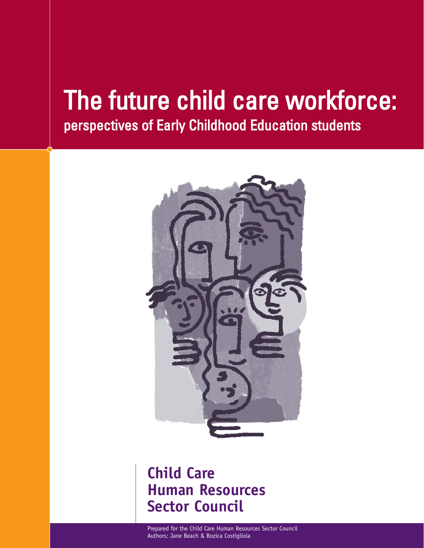# The future child care workforce: perspectives of Early Childhood Education students



# **Child Care Human Resources Sector Council**

Prepared for the Child Care Human Resources Sector Council Authors: Jane Beach & Bozica Costigliola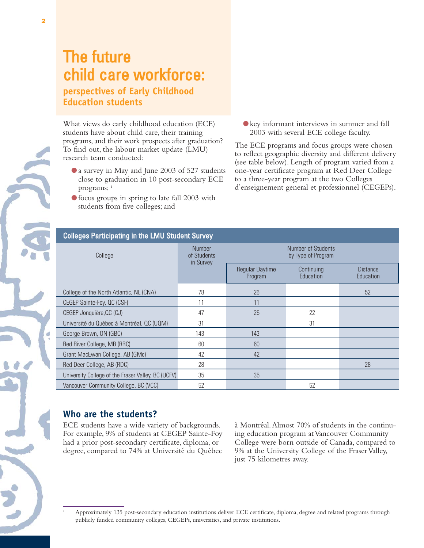# The future child care workforce: **perspectives of Early Childhood Education students**

What views do early childhood education (ECE) students have about child care, their training programs, and their work prospects after graduation? To find out, the labour market update (LMU) research team conducted:

- a survey in May and June 2003 of 527 students close to graduation in 10 post-secondary ECE programs; <sup>1</sup>
- focus groups in spring to late fall 2003 with students from five colleges; and

● key informant interviews in summer and fall 2003 with several ECE college faculty.

The ECE programs and focus groups were chosen to reflect geographic diversity and different delivery (see table below). Length of program varied from a one-year certificate program at Red Deer College to a three-year program at the two Colleges d'enseignement general et professionnel (CEGEPs).

| <b>Colleges Participating in the LMU Student Survey</b> |                                           |                                          |                         |                              |  |  |
|---------------------------------------------------------|-------------------------------------------|------------------------------------------|-------------------------|------------------------------|--|--|
| College                                                 | <b>Number</b><br>of Students<br>in Survey | Number of Students<br>by Type of Program |                         |                              |  |  |
|                                                         |                                           | <b>Regular Daytime</b><br>Program        | Continuing<br>Education | <b>Distance</b><br>Education |  |  |
| College of the North Atlantic, NL (CNA)                 | 78                                        | 26                                       |                         | 52                           |  |  |
| CEGEP Sainte-Foy, QC (CSF)                              | 11                                        | 11                                       |                         |                              |  |  |
| CEGEP Jonquière, QC (CJ)                                | 47                                        | 25                                       | 22                      |                              |  |  |
| Université du Québec à Montréal, QC (UQM)               | 31                                        |                                          | 31                      |                              |  |  |
| George Brown, ON (GBC)                                  | 143                                       | 143                                      |                         |                              |  |  |
| Red River College, MB (RRC)                             | 60                                        | 60                                       |                         |                              |  |  |
| Grant MacEwan College, AB (GMc)                         | 42                                        | 42                                       |                         |                              |  |  |
| Red Deer College, AB (RDC)                              | 28                                        |                                          |                         | 28                           |  |  |
| University College of the Fraser Valley, BC (UCFV)      | 35                                        | 35                                       |                         |                              |  |  |
| Vancouver Community College, BC (VCC)                   | 52                                        |                                          | 52                      |                              |  |  |

# **Who are the students?**

ECE students have a wide variety of backgrounds. For example, 9% of students at CEGEP Sainte-Foy had a prior post-secondary certificate, diploma, or degree, compared to 74% at Université du Québec

à Montréal.Almost 70% of students in the continuing education program at Vancouver Community College were born outside of Canada, compared to 9% at the University College of the Fraser Valley, just 75 kilometres away.

<sup>1</sup> Approximately 135 post-secondary education institutions deliver ECE certificate, diploma, degree and related programs through publicly funded community colleges, CEGEPs, universities, and private institutions.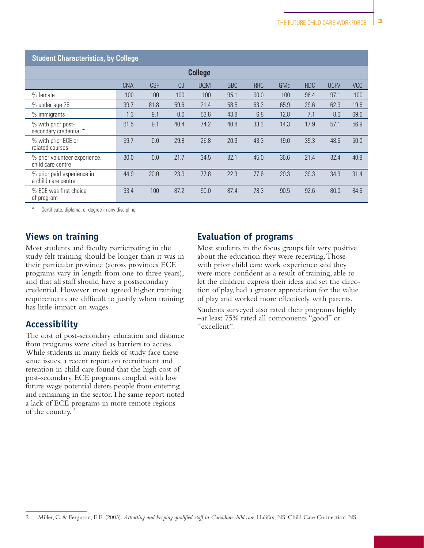#### Student Characteristics, by College

| <b>College</b>                                     |            |            |      |            |            |            |            |            |             |            |
|----------------------------------------------------|------------|------------|------|------------|------------|------------|------------|------------|-------------|------------|
|                                                    | <b>CNA</b> | <b>CSF</b> | CJ   | <b>UQM</b> | <b>GBC</b> | <b>RRC</b> | <b>GMc</b> | <b>RDC</b> | <b>UCFV</b> | <b>VCC</b> |
| % female                                           | 100        | 100        | 100  | 100        | 95.1       | 90.0       | 100        | 96.4       | 97.1        | 100        |
| % under age 25                                     | 39.7       | 81.8       | 59.6 | 21.4       | 58.5       | 63.3       | 65.9       | 29.6       | 62.9        | 19.6       |
| % immigrants                                       | 1.3        | 9.1        | 0.0  | 53.6       | 43.8       | 6.8        | 12.8       | 7.1        | 8.6         | 69.6       |
| % with prior post-<br>secondary credential *       | 61.5       | 9.1        | 40.4 | 74.2       | 40.8       | 33.3       | 14.3       | 17.9       | 57.1        | 56.9       |
| % with prior ECE or<br>related courses             | 59.7       | 0.0        | 29.8 | 25.8       | 20.3       | 43.3       | 19.0       | 39.3       | 48.6        | 50.0       |
| % prior volunteer experience,<br>child care centre | 30.0       | 0.0        | 21.7 | 34.5       | 32.1       | 45.0       | 36.6       | 21.4       | 32.4        | 40.8       |
| % prior paid experience in<br>a child care centre  | 44.9       | 20.0       | 23.9 | 77.8       | 22.3       | 77.6       | 29.3       | 39.3       | 34.3        | 31.4       |
| % ECE was first choice<br>of program               | 93.4       | 100        | 87.2 | 90.0       | 87.4       | 78.3       | 90.5       | 92.6       | 80.0        | 84.6       |

Certificate, diploma, or degree in any discipline

#### **Views on training**

Most students and faculty participating in the study felt training should be longer than it was in their particular province (across provinces ECE programs vary in length from one to three years), and that all staff should have a postsecondary credential. However, most agreed higher training requirements are difficult to justify when training has little impact on wages.

### **Accessibility**

The cost of post-secondary education and distance from programs were cited as barriers to access. While students in many fields of study face these same issues, a recent report on recruitment and retention in child care found that the high cost of post-secondary ECE programs coupled with low future wage potential deters people from entering and remaining in the sector.The same report noted a lack of ECE programs in more remote regions of the country. <sup>2</sup>

#### **Evaluation of programs**

Most students in the focus groups felt very positive about the education they were receiving.Those with prior child care work experience said they were more confident as a result of training, able to let the children express their ideas and set the direction of play, had a greater appreciation for the value of play and worked more effectively with parents.

Students surveyed also rated their programs highly –at least 75% rated all components "good" or "excellent".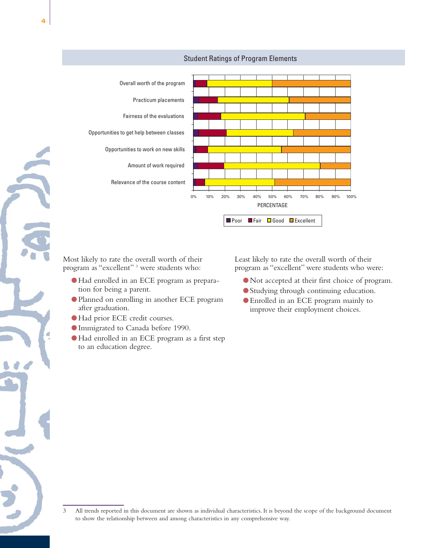

#### Student Ratings of Program Elements

Most likely to rate the overall worth of their program as "excellent" <sup>3</sup> were students who:

- ●Had enrolled in an ECE program as preparation for being a parent.
- Planned on enrolling in another ECE program after graduation.
- ●Had prior ECE credit courses.
- Immigrated to Canada before 1990.
- ●Had enrolled in an ECE program as a first step to an education degree.

Least likely to rate the overall worth of their program as "excellent" were students who were:

- Not accepted at their first choice of program.
- Studying through continuing education.
- Enrolled in an ECE program mainly to improve their employment choices.

<sup>3</sup> All trends reported in this document are shown as individual characteristics. It is beyond the scope of the background document to show the relationship between and among characteristics in any comprehensive way.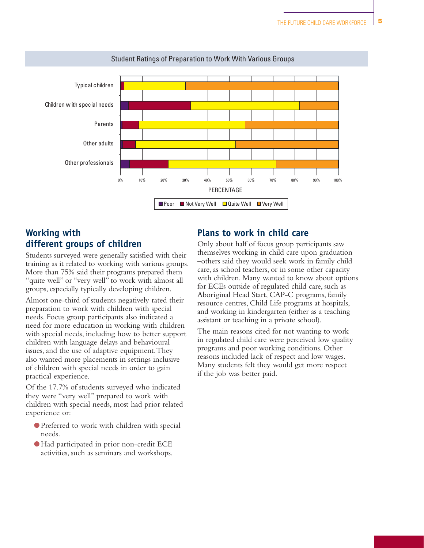

#### Student Ratings of Preparation to Work With Various Groups

### **Working with different groups of children**

Students surveyed were generally satisfied with their training as it related to working with various groups. More than 75% said their programs prepared them "quite well" or "very well" to work with almost all groups, especially typically developing children.

Almost one-third of students negatively rated their preparation to work with children with special needs. Focus group participants also indicated a need for more education in working with children with special needs, including how to better support children with language delays and behavioural issues, and the use of adaptive equipment.They also wanted more placements in settings inclusive of children with special needs in order to gain practical experience.

Of the 17.7% of students surveyed who indicated they were "very well" prepared to work with children with special needs, most had prior related experience or:

- Preferred to work with children with special needs.
- ●Had participated in prior non-credit ECE activities, such as seminars and workshops.

#### **Plans to work in child care**

Only about half of focus group participants saw themselves working in child care upon graduation –others said they would seek work in family child care, as school teachers, or in some other capacity with children. Many wanted to know about options for ECEs outside of regulated child care, such as Aboriginal Head Start, CAP-C programs, family resource centres, Child Life programs at hospitals, and working in kindergarten (either as a teaching assistant or teaching in a private school).

The main reasons cited for not wanting to work in regulated child care were perceived low quality programs and poor working conditions. Other reasons included lack of respect and low wages. Many students felt they would get more respect if the job was better paid.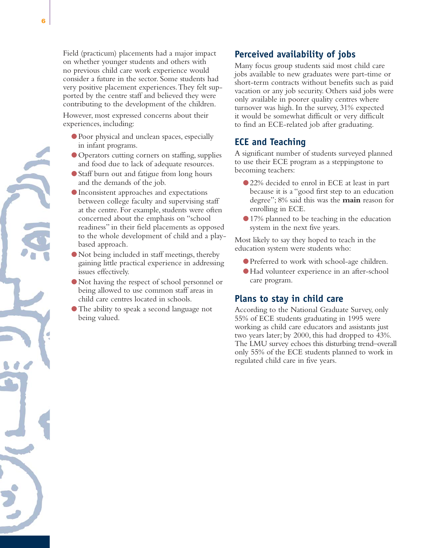Field (practicum) placements had a major impact on whether younger students and others with no previous child care work experience would consider a future in the sector. Some students had very positive placement experiences.They felt supported by the centre staff and believed they were contributing to the development of the children.

However, most expressed concerns about their experiences, including:

- Poor physical and unclean spaces, especially in infant programs.
- Operators cutting corners on staffing, supplies and food due to lack of adequate resources.
- Staff burn out and fatigue from long hours and the demands of the job.
- Inconsistent approaches and expectations between college faculty and supervising staff at the centre. For example, students were often concerned about the emphasis on "school readiness" in their field placements as opposed to the whole development of child and a playbased approach.
- Not being included in staff meetings, thereby gaining little practical experience in addressing issues effectively.
- Not having the respect of school personnel or being allowed to use common staff areas in child care centres located in schools.
- The ability to speak a second language not being valued.

# **Perceived availability of jobs**

Many focus group students said most child care jobs available to new graduates were part-time or short-term contracts without benefits such as paid vacation or any job security. Others said jobs were only available in poorer quality centres where turnover was high. In the survey, 31% expected it would be somewhat difficult or very difficult to find an ECE-related job after graduating.

# **ECE and Teaching**

A significant number of students surveyed planned to use their ECE program as a steppingstone to becoming teachers:

- 22% decided to enrol in ECE at least in part because it is a "good first step to an education degree"; 8% said this was the **main** reason for enrolling in ECE.
- 17% planned to be teaching in the education system in the next five years.

Most likely to say they hoped to teach in the education system were students who:

- Preferred to work with school-age children.
- ●Had volunteer experience in an after-school care program.

### **Plans to stay in child care**

According to the National Graduate Survey, only 55% of ECE students graduating in 1995 were working as child care educators and assistants just two years later; by 2000, this had dropped to 43%. The LMU survey echoes this disturbing trend–overall only 55% of the ECE students planned to work in regulated child care in five years.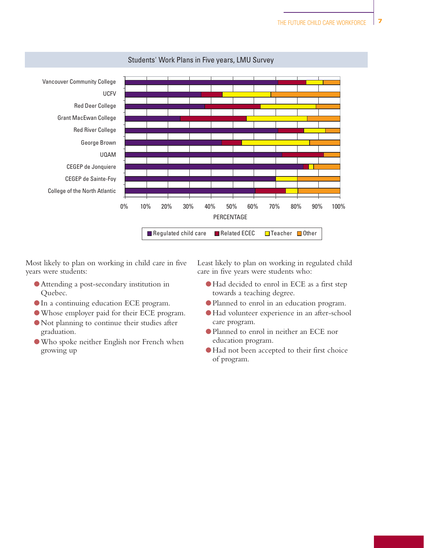

#### Students' Work Plans in Five years, LMU Survey

Most likely to plan on working in child care in five years were students:

- Attending a post-secondary institution in Quebec.
- In a continuing education ECE program.
- ●Whose employer paid for their ECE program.
- Not planning to continue their studies after graduation.
- ●Who spoke neither English nor French when growing up

Least likely to plan on working in regulated child care in five years were students who:

- ●Had decided to enrol in ECE as a first step towards a teaching degree.
- Planned to enrol in an education program.
- ●Had volunteer experience in an after-school care program.
- Planned to enrol in neither an ECE nor education program.
- ●Had not been accepted to their first choice of program.